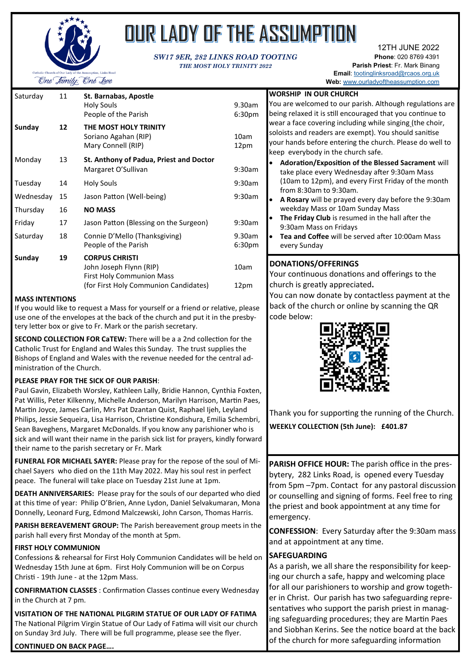

# OUR LADY OF THE ASSUMPTION

#### *SW17 9ER, 282 LINKS ROAD TOOTING THE MOST HOLY TRINITY 2022*

12TH JUNE 2022 **Phone**: 020 8769 4391 **Parish Priest**: Fr. Mark Binang **Email**: [tootinglinksroad@rcaos.org.uk](mailto:tootinglinksroad@rcaos.org.uk)

| Saturday  | 11 | St. Barnabas, Apostle                                                                                                  |                              | <b>WORSHIP</b>                                          |
|-----------|----|------------------------------------------------------------------------------------------------------------------------|------------------------------|---------------------------------------------------------|
|           |    | Holy Souls<br>People of the Parish                                                                                     | 9.30am<br>6:30 <sub>pm</sub> | You are we<br>being relax                               |
| Sunday    | 12 | THE MOST HOLY TRINITY<br>Soriano Agahan (RIP)<br>Mary Connell (RIP)                                                    | 10am<br>12pm                 | wear a face<br>soloists and<br>your hands<br>keep every |
| Monday    | 13 | St. Anthony of Padua, Priest and Doctor<br>Margaret O'Sullivan                                                         | 9:30am                       | Adorati<br>take pla                                     |
| Tuesday   | 14 | <b>Holy Souls</b>                                                                                                      | 9:30am                       | (10am t<br>from $8$ :                                   |
| Wednesday | 15 | Jason Patton (Well-being)                                                                                              | 9:30am                       | A Rosar<br>$\bullet$                                    |
| Thursday  | 16 | <b>NO MASS</b>                                                                                                         |                              | weekda                                                  |
| Friday    | 17 | Jason Patton (Blessing on the Surgeon)                                                                                 | 9:30am                       | <b>The Frid</b><br>$\bullet$<br>9:30am                  |
| Saturday  | 18 | Connie D'Mello (Thanksgiving)<br>People of the Parish                                                                  | 9.30am<br>6:30 <sub>pm</sub> | Tea and<br>$\bullet$<br>every S                         |
| Sunday    | 19 | <b>CORPUS CHRISTI</b><br>John Joseph Flynn (RIP)<br>First Holy Communion Mass<br>(for First Holy Communion Candidates) | 10am<br>12pm                 | <b>DONATIO</b><br>Your cont<br>church is $\beta$        |

#### **MASS INTENTIONS**

If you would like to request a Mass for yourself or a friend or relative, please use one of the envelopes at the back of the church and put it in the presbytery letter box or give to Fr. Mark or the parish secretary.

**SECOND COLLECTION FOR CaTEW:** There will be a a 2nd collection for the Catholic Trust for England and Wales this Sunday. The trust supplies the Bishops of England and Wales with the revenue needed for the central administration of the Church.

#### **PLEASE PRAY FOR THE SICK OF OUR PARISH**:

Paul Gavin, Elizabeth Worsley, Kathleen Lally, Bridie Hannon, Cynthia Foxten, Pat Willis, Peter Kilkenny, Michelle Anderson, Marilyn Harrison, Martin Paes, Martin Joyce, James Carlin, Mrs Pat Dzantan Quist, Raphael Ijeh, Leyland Philips, Jessie Sequeira, Lisa Harrison, Christine Kondishura, Emilia Schembri, Sean Baveghens, Margaret McDonalds. If you know any parishioner who is sick and will want their name in the parish sick list for prayers, kindly forward their name to the parish secretary or Fr. Mark

**FUNERAL FOR MICHAEL SAYER:** Please pray for the repose of the soul of Michael Sayers who died on the 11th May 2022. May his soul rest in perfect peace. The funeral will take place on Tuesday 21st June at 1pm.

**DEATH ANNIVERSARIES:** Please pray for the souls of our departed who died at this time of year: Philip O'Brien, Anne Lydon, Daniel Selvakumaran, Mona Donnelly, Leonard Furg, Edmond Malczewski, John Carson, Thomas Harris.

**PARISH BEREAVEMENT GROUP:** The Parish bereavement group meets in the parish hall every first Monday of the month at 5pm.

#### **FIRST HOLY COMMUNION**

Confessions & rehearsal for First Holy Communion Candidates will be held on Wednesday 15th June at 6pm. First Holy Communion will be on Corpus Christi - 19th June - at the 12pm Mass.

**CONFIRMATION CLASSES** : Confirmation Classes continue every Wednesday in the Church at 7 pm.

**VISITATION OF THE NATIONAL PILGRIM STATUE OF OUR LADY OF FATIMA** The National Pilgrim Virgin Statue of Our Lady of Fatima will visit our church on Sunday 3rd July. There will be full programme, please see the flyer.

#### **CONTINUED ON BACK PAGE….**

|                                  | Web: www.ourladyoftheassumption.com                                                                                                                                                                                                                                                                                                                                                                                                                   |  |  |  |  |
|----------------------------------|-------------------------------------------------------------------------------------------------------------------------------------------------------------------------------------------------------------------------------------------------------------------------------------------------------------------------------------------------------------------------------------------------------------------------------------------------------|--|--|--|--|
| am<br>วm<br>h                    | <b>WORSHIP IN OUR CHURCH</b><br>You are welcomed to our parish. Although regulations are<br>being relaxed it is still encouraged that you continue to<br>wear a face covering including while singing (the choir,<br>soloists and readers are exempt). You should sanitise<br>your hands before entering the church. Please do well to<br>keep everybody in the church safe.                                                                          |  |  |  |  |
| эm<br>яm<br>эm<br>am<br>am<br>วm | <b>Adoration/Exposition of the Blessed Sacrament will</b><br>take place every Wednesday after 9:30am Mass<br>(10am to 12pm), and every First Friday of the month<br>from 8:30am to 9:30am.<br><b>A Rosary</b> will be prayed every day before the 9:30am<br>weekday Mass or 10am Sunday Mass<br>The Friday Club is resumed in the hall after the<br>9:30am Mass on Fridays<br><b>Tea and Coffee</b> will be served after 10:00am Mass<br>every Sunday |  |  |  |  |

### **NS/OFFERINGS**

inuous donations and offerings to the greatly appreciated.

You can now donate by contactless payment at the back of the church or online by scanning the QR code below:



Thank you for supporting the running of the Church. **WEEKLY COLLECTION (5th June): £401.87**

**PARISH OFFICE HOUR:** The parish office in the presbytery, 282 Links Road, is opened every Tuesday from 5pm –7pm. Contact for any pastoral discussion or counselling and signing of forms. Feel free to ring the priest and book appointment at any time for emergency.

**CONFESSION**: Every Saturday after the 9:30am mass and at appointment at any time.

#### **SAFEGUARDING**

As a parish, we all share the responsibility for keeping our church a safe, happy and welcoming place for all our parishioners to worship and grow together in Christ. Our parish has two safeguarding representatives who support the parish priest in managing safeguarding procedures; they are Martin Paes and Siobhan Kerins. See the notice board at the back of the church for more safeguarding information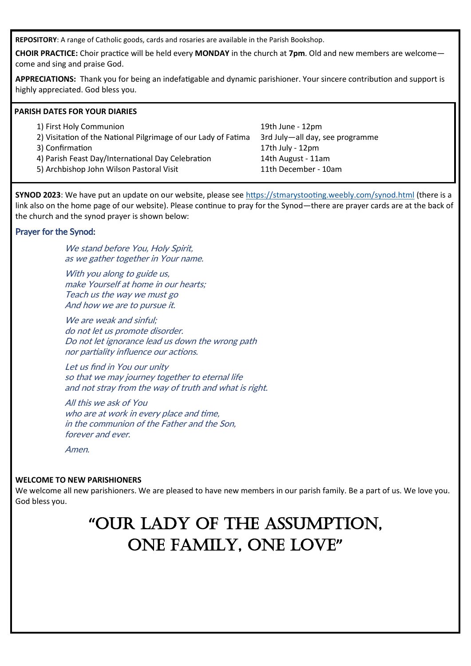**REPOSITORY**: A range of Catholic goods, cards and rosaries are available in the Parish Bookshop.

**CHOIR PRACTICE:** Choir practice will be held every **MONDAY** in the church at **7pm**. Old and new members are welcome come and sing and praise God.

**APPRECIATIONS:** Thank you for being an indefatigable and dynamic parishioner. Your sincere contribution and support is highly appreciated. God bless you.

#### **PARISH DATES FOR YOUR DIARIES**

| 1) First Holy Communion                                        | 19th June - 12pm                |
|----------------------------------------------------------------|---------------------------------|
| 2) Visitation of the National Pilgrimage of our Lady of Fatima | 3rd July-all day, see programme |
| 3) Confirmation                                                | 17th July - 12pm                |
| 4) Parish Feast Day/International Day Celebration              | 14th August - 11am              |
| 5) Archbishop John Wilson Pastoral Visit                       | 11th December - 10am            |

**SYNOD 2023**: We have put an update on our website, please see <https://stmarystooting.weebly.com/synod.html> (there is a link also on the home page of our website). Please continue to pray for the Synod—there are prayer cards are at the back of the church and the synod prayer is shown below:

#### Prayer for the Synod:

We stand before You, Holy Spirit, as we gather together in Your name.

With you along to guide us, make Yourself at home in our hearts; Teach us the way we must go And how we are to pursue it.

We are weak and sinful: do not let us promote disorder. Do not let ignorance lead us down the wrong path nor partiality influence our actions.

Let us find in You our unity so that we may journey together to eternal life and not stray from the way of truth and what is right.

All this we ask of You who are at work in every place and time. in the communion of the Father and the Son, forever and ever.

Amen.

#### **WELCOME TO NEW PARISHIONERS**

We welcome all new parishioners. We are pleased to have new members in our parish family. Be a part of us. We love you. God bless you.

# **"**OUR LADY OF THE ASSUMPTION, ONE FAMILY, ONE LOVE**"**